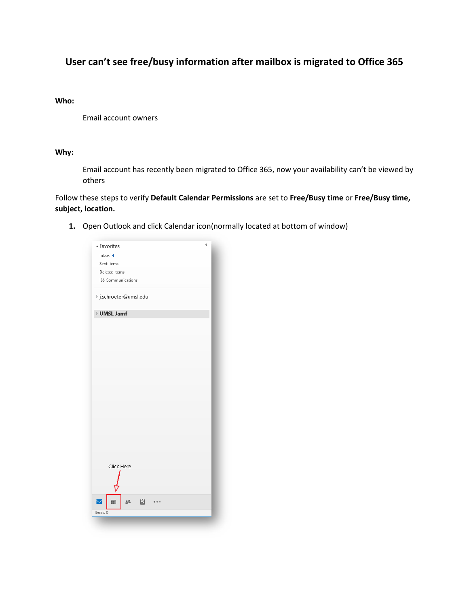# **User can't see free/busy information after mailbox is migrated to Office 365**

### **Who:**

Email account owners

### **Why:**

Email account has recently been migrated to Office 365, now your availability can't be viewed by others

Follow these steps to verify **Default Calendar Permissions** are set to **Free/Busy time** or **Free/Busy time, subject, location.** 

**1.** Open Outlook and click Calendar icon(normally located at bottom of window)

| ▲ Favorites            |       | ∢ |
|------------------------|-------|---|
| Inbox 4                |       |   |
| Sent Items             |       |   |
| Deleted Items          |       |   |
| ISS Communications     |       |   |
| ▷ j.schroeter@umsl.edu |       |   |
| <b>D</b> UMSL Jamf     |       |   |
|                        |       |   |
|                        |       |   |
|                        |       |   |
|                        |       |   |
|                        |       |   |
|                        |       |   |
|                        |       |   |
|                        |       |   |
|                        |       |   |
|                        |       |   |
|                        |       |   |
|                        |       |   |
|                        |       |   |
| Click Here             |       |   |
|                        |       |   |
| m:                     | 38 [기 |   |
| Items: 0               |       |   |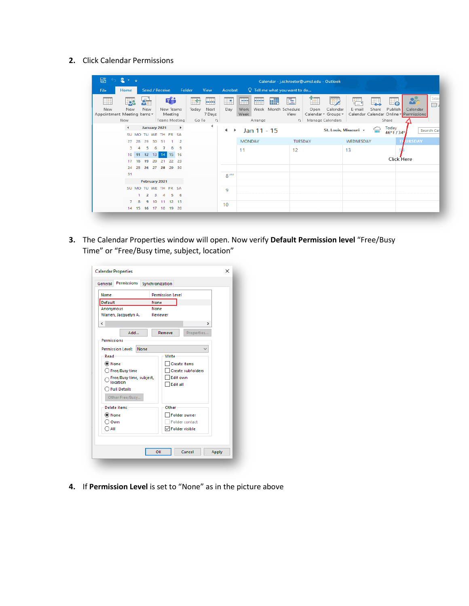**2.** Click Calendar Permissions

| 翳<br>↽                             | $2 - 7$       |                                            |                                                        |                       |                                                     |                                     |                   |                        |            |                                                   | Calendar - j.schroeter@umsl.edu - Outlook |                                                           |             |             |                        |                                                                    |             |
|------------------------------------|---------------|--------------------------------------------|--------------------------------------------------------|-----------------------|-----------------------------------------------------|-------------------------------------|-------------------|------------------------|------------|---------------------------------------------------|-------------------------------------------|-----------------------------------------------------------|-------------|-------------|------------------------|--------------------------------------------------------------------|-------------|
| File                               | Home          |                                            | Send / Receive                                         | Folder                | View                                                | Acrobat                             |                   |                        |            | $\Omega$ Tell me what you want to do              |                                           |                                                           |             |             |                        |                                                                    |             |
| New<br>Appointment Meeting Items * | New<br>New    | $Q_{\overline{\mathbf{G}}^{\perp}}$<br>New | di<br>New Teams<br>Meeting<br>Teams Meeting            |                       | 区<br><b>THE</b><br>Next<br>Today<br>7 Days<br>Go To | W<br>Day<br>$\overline{\mathbb{R}}$ | 靈<br>Work<br>Week | <b>PANE</b><br>Arrange | <b>THE</b> | E<br>Week Month Schedule<br>View<br><b>150 11</b> | Ĥ۳.<br>Open                               | 出入<br>Calendar<br>Calendar v Groups v<br>Manage Calendars | 疆<br>E-mail | F.<br>Share | ≞∝<br>Publish<br>Share | <b>Press</b><br>Calendar<br>Calendar Calendar Online v Permissions | Sea<br>EB 4 |
|                                    | $\rightarrow$ | January 2021                               | SU MO TU WE TH FR SA                                   | $\blacktriangleright$ | ≺                                                   | Þ.<br>◀                             |                   | Jan 11 - 15            |            |                                                   |                                           | St. Louis, Missouri +                                     |             | ╦           | Today<br>46°F/34°      |                                                                    | Search Cal  |
|                                    | 27<br>28      | 29                                         | 30 31                                                  |                       |                                                     |                                     | <b>MONDAY</b>     |                        |            | <b>TUESDAY</b>                                    |                                           |                                                           | WEDNESDAY   |             |                        | <b>URSDAY</b>                                                      |             |
|                                    | з             |                                            | 8<br>6<br>10 11 12 13 14 15 16<br>17 18 19 20 21 22 23 | q                     |                                                     |                                     | 11                |                        |            | 12                                                |                                           |                                                           | 13          |             | Click Here             |                                                                    |             |
|                                    | 24 25<br>31   |                                            | 26 27 28 29 30                                         |                       |                                                     |                                     |                   |                        |            |                                                   |                                           |                                                           |             |             |                        |                                                                    |             |
|                                    |               | February 2021                              |                                                        |                       |                                                     | 8 <sup>AM</sup>                     |                   |                        |            |                                                   |                                           |                                                           |             |             |                        |                                                                    |             |
|                                    |               | 2                                          | SU MO TU WE TH FR SA<br>5.<br>в.<br>4                  | -6                    |                                                     | 9                                   |                   |                        |            |                                                   |                                           |                                                           |             |             |                        |                                                                    |             |
|                                    |               | 8<br>9                                     | 10 11 12 13<br>14    15    16    17    18    19    20  |                       |                                                     | 10                                  |                   |                        |            |                                                   |                                           |                                                           |             |             |                        |                                                                    |             |

**3.** The Calendar Properties window will open. Now verify **Default Permission level** "Free/Busy Time" or "Free/Busy time, subject, location"

| Name                             |      | <b>Permission Level</b>  |
|----------------------------------|------|--------------------------|
| Default                          | None |                          |
| Anonymous                        | None |                          |
| Warren, Jacquelyn A.             |      | Reviewer                 |
| €                                |      | ⋗                        |
| Add                              |      | Properties<br>Remove     |
| <b>Permissions</b>               |      |                          |
| <b>Permission Level:</b><br>None |      |                          |
| Read                             |      | Write                    |
| ◉ None                           |      | <b>Create</b> items      |
| ◯ Free/Busy time                 |      | <b>Create subfolders</b> |
| Free/Busy time, subject,         |      | Edit own                 |
| location                         |      | <b>Edit all</b>          |
| $\bigcirc$ Full Details          |      |                          |
| Other Free/Busy                  |      |                          |
| Delete items                     |      | Other                    |
| O None                           |      | Folder owner             |
| Own                              |      | Folder contact           |
| $\sum$ All                       |      | $\boxdot$ Folder visible |
|                                  |      |                          |

**4.** If **Permission Level** is set to "None" as in the picture above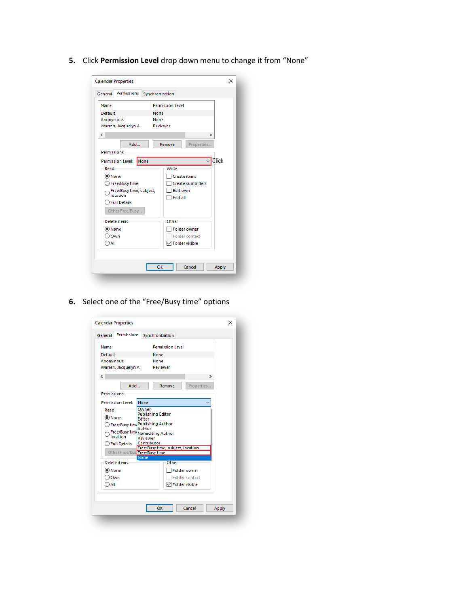**5.** Click **Permission Level** drop down menu to change it from "None"

| <b>Calendar Properties</b>       |                          | × |
|----------------------------------|--------------------------|---|
| <b>Permissions</b><br>General    | Synchronization          |   |
| Name                             | <b>Permission Level</b>  |   |
| Default                          | None                     |   |
| Anonymous                        | None                     |   |
| Warren, Jacquelyn A.             | <b>Reviewer</b>          |   |
| $\overline{\phantom{a}}$         | $\rightarrow$            |   |
| Add                              | Remove<br>Properties     |   |
| <b>Permissions</b>               |                          |   |
| None<br><b>Permission Level:</b> | Click                    |   |
| Read                             | Write                    |   |
| (C) None                         | <b>Create items</b>      |   |
| $\bigcirc$ Free/Busy time        | <b>Create subfolders</b> |   |
| Free/Busy time, subject,         | Edit own                 |   |
| location                         | <b>Edit all</b>          |   |
| <b>Full Details</b>              |                          |   |
| Other Free/Busy                  |                          |   |
| Delete items                     | Other                    |   |
| ◉ None                           | <b>Folder owner</b>      |   |
| Own                              | <b>Folder contact</b>    |   |
| ) All                            | $\sqrt{}$ Folder visible |   |
|                                  |                          |   |
|                                  |                          |   |
|                                  | OK<br>Cancel<br>Apply    |   |
|                                  |                          |   |
|                                  |                          |   |

**6.** Select one of the "Free/Busy time" options

| <b>Calendar Properties</b>    |                                                  | ×     |
|-------------------------------|--------------------------------------------------|-------|
| Permissions<br>General        | Synchronization                                  |       |
| Name                          | <b>Permission Level</b>                          |       |
| Default                       | None                                             |       |
| Anonymous                     | None                                             |       |
| Warren, Jacquelyn A.          | Reviewer                                         |       |
| $\overline{\phantom{a}}$      | $\mathcal{P}$                                    |       |
| Add                           | Remove<br>Properties                             |       |
| <b>Permissions</b>            |                                                  |       |
| <b>Permission Level:</b>      | None                                             |       |
| Read                          | Owner                                            |       |
| ◉ None                        | <b>Publishing Editor</b><br>Editor               |       |
| ◯ Free/Busy time              | <b>Publishing Author</b>                         |       |
|                               | Author<br>Free/Busy tim Nonediting Author        |       |
| location                      | Reviewer                                         |       |
| <b>Full Details</b>           | Contributor<br>Free/Busy time, subject, location |       |
| Other Free/Bus Free/Busy time |                                                  |       |
|                               | <b>None</b>                                      |       |
| Delete items                  | Other                                            |       |
| ◉ None                        | Folder owner                                     |       |
| Own                           | Folder contact                                   |       |
| $\cap$ aii                    | $\sqrt{}$ Folder visible                         |       |
|                               |                                                  |       |
|                               |                                                  |       |
|                               | OK<br>Cancel                                     | Apply |
|                               |                                                  |       |
|                               |                                                  |       |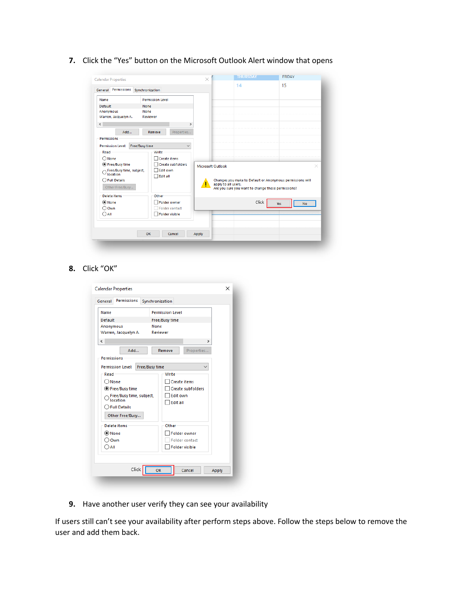**7.** Click the "Yes" button on the Microsoft Outlook Alert window that opens

| <b>Calendar Properties</b>                                                                                                                                                                | $\times$                                                  | <b>THURSDAY</b>                                                                                                                        | <b>FRIDAY</b> |
|-------------------------------------------------------------------------------------------------------------------------------------------------------------------------------------------|-----------------------------------------------------------|----------------------------------------------------------------------------------------------------------------------------------------|---------------|
| General Permissions<br>Synchronization                                                                                                                                                    |                                                           | 14                                                                                                                                     | 15            |
| <b>Permission Level</b><br>Name                                                                                                                                                           |                                                           |                                                                                                                                        |               |
| Default<br>None                                                                                                                                                                           |                                                           |                                                                                                                                        |               |
| None<br>Anonymous<br>Warren, Jacquelyn A.<br>Reviewer                                                                                                                                     |                                                           |                                                                                                                                        |               |
| $\langle$<br>Add<br>Remove<br><b>Permissions</b>                                                                                                                                          | $\rightarrow$<br>Properties                               |                                                                                                                                        |               |
| Free/Busy time<br><b>Permission Level:</b>                                                                                                                                                | $\checkmark$                                              |                                                                                                                                        |               |
| Read<br>Write<br>$\bigcirc$ None<br>□ Create items<br>● Free/Busy time<br>$\Box$ Edit own<br>Free/Busy time, subject,<br>location<br>$\Box$ Edit all<br>◯ Full Details<br>Other Free/Busy | Create subfolders<br>Microsoft Outlook                    | Changes you make to Default or Anonymous permissions will<br>apply to all users.<br>Are you sure you want to change these permissions? | ×             |
| Delete items<br>Other<br>(C) None<br>○ Own<br>$O$ All                                                                                                                                     | □ Folder owner<br>Folder contact<br>$\Box$ Folder visible | Click                                                                                                                                  | No<br>Yes     |
| OK                                                                                                                                                                                        | Cancel<br>Apply                                           |                                                                                                                                        |               |

**8.** Click "OK"

| Name                                       | <b>Permission Level</b>  |
|--------------------------------------------|--------------------------|
| Default                                    | Free/Busy time           |
| Anonymous                                  | None                     |
| Warren, Jacquelyn A.                       | <b>Reviewer</b>          |
| $\overline{\phantom{a}}$                   | $\rightarrow$            |
| Add                                        | Remove<br>Properties     |
| <b>Permissions</b>                         |                          |
| Free/Busy time<br><b>Permission Level:</b> |                          |
| Read                                       | Write                    |
| $\bigcap$ None                             | <b>Create items</b>      |
| ● Free/Busy time                           | <b>Create subfolders</b> |
| Free/Busy time, subject,                   | Edit own                 |
| Incation                                   | Edit all                 |
| $\bigcap$ Full Details                     |                          |
| Other Free/Busy                            |                          |
| Delete items                               | Other                    |
| ◉ None                                     | <b>Folder owner</b>      |
| Own                                        | <b>Folder contact</b>    |
| ) All                                      | <b>Folder visible</b>    |
|                                            |                          |

**9.** Have another user verify they can see your availability

If users still can't see your availability after perform steps above. Follow the steps below to remove the user and add them back.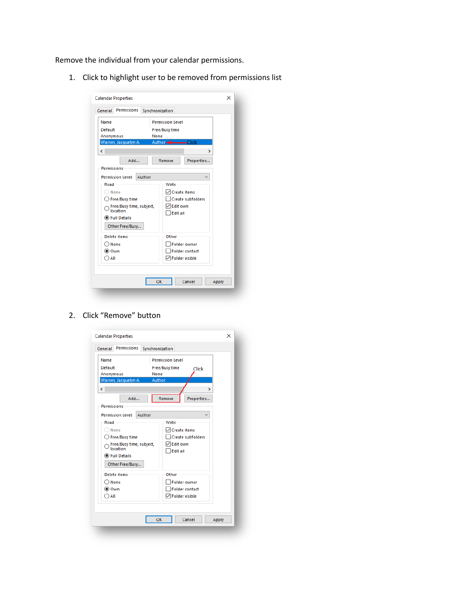Remove the individual from your calendar permissions.

1. Click to highlight user to be removed from permissions list

| <b>Permissions</b><br>General<br>Synchronization<br><b>Permission Level</b><br>Name<br>Default<br>Free/Busy time<br>Anonymous<br>None<br>Author-A-<br>Warren, Jacquelyn A.<br>$\mathbf{r}$<br>c<br>Add<br>Properties<br>Remove<br><b>Permissions</b><br><b>Permission Level:</b><br>Author<br>Read<br>Write<br>$\sqrt{}$ Create items<br>None<br>Create subfolders<br>◯ Free/Busy time<br>√ Edit own<br>Free/Busy time, subject,<br>location<br><b>Edit all</b><br>◉ Full Details<br>Other Free/Busy<br>Delete items<br>Other<br><b>Folder owner</b><br>$\bigcirc$ None<br><b>Folder contact</b><br>(■ Own<br>$\sqrt{}$ Folder visible<br>$\bigcirc$ aii<br>OK<br>Cancel<br>Apply | <b>Calendar Properties</b> |  | × |
|-----------------------------------------------------------------------------------------------------------------------------------------------------------------------------------------------------------------------------------------------------------------------------------------------------------------------------------------------------------------------------------------------------------------------------------------------------------------------------------------------------------------------------------------------------------------------------------------------------------------------------------------------------------------------------------|----------------------------|--|---|
|                                                                                                                                                                                                                                                                                                                                                                                                                                                                                                                                                                                                                                                                                   |                            |  |   |
|                                                                                                                                                                                                                                                                                                                                                                                                                                                                                                                                                                                                                                                                                   |                            |  |   |
|                                                                                                                                                                                                                                                                                                                                                                                                                                                                                                                                                                                                                                                                                   |                            |  |   |
|                                                                                                                                                                                                                                                                                                                                                                                                                                                                                                                                                                                                                                                                                   |                            |  |   |
|                                                                                                                                                                                                                                                                                                                                                                                                                                                                                                                                                                                                                                                                                   |                            |  |   |
|                                                                                                                                                                                                                                                                                                                                                                                                                                                                                                                                                                                                                                                                                   |                            |  |   |

### 2. Click "Remove" button

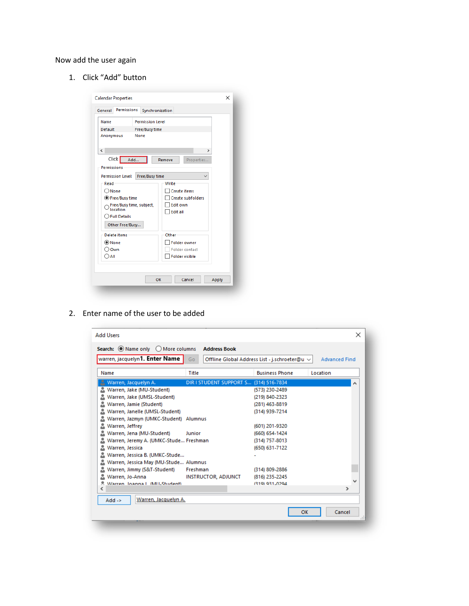## Now add the user again

1. Click "Add" button

| <b>Permissions</b><br>General        | Synchronization             |  |
|--------------------------------------|-----------------------------|--|
| Name                                 | <b>Permission Level</b>     |  |
| Default                              | Free/Busy time              |  |
| Anonymous                            | None                        |  |
|                                      |                             |  |
| ∢                                    | $\rightarrow$               |  |
| Click<br>Add                         | Properties<br>Remove        |  |
| <b>Permissions</b>                   |                             |  |
| <b>Permission Level:</b>             | Free/Busy time              |  |
| Read                                 | Write                       |  |
| Mone                                 | <b>Create items</b>         |  |
| ◎ Free/Busy time                     | <b>Create subfolders</b>    |  |
| Free/Busy time, subject,<br>location | Edit own<br><b>Edit all</b> |  |
| ◯ Full Details                       |                             |  |
| Other Free/Busy                      |                             |  |
| Delete items                         | Other                       |  |
| ◉ None                               | <b>Folder owner</b>         |  |
| Own                                  | <b>Folder contact</b>       |  |
| ) All                                | <b>Folder visible</b>       |  |
|                                      |                             |  |
|                                      |                             |  |

2. Enter name of the user to be added

| <b>Add Users</b><br>Search: O Name only<br>$\bigcirc$ More columns | <b>Address Book</b>                    |                                                    | ×                    |
|--------------------------------------------------------------------|----------------------------------------|----------------------------------------------------|----------------------|
| warren, jacquelyn1. Enter Name                                     | Go                                     | Offline Global Address List - j.schroeter@u $\vee$ | <b>Advanced Find</b> |
| Name                                                               | Title                                  | <b>Business Phone</b>                              | Location             |
| Warren, Jacquelyn A.                                               | DIR I STUDENT SUPPORT S (314) 516-7834 |                                                    |                      |
| Warren, Jake (MU-Student)                                          |                                        | (573) 230-2489                                     |                      |
| Warren, Jake (UMSL-Student)                                        |                                        | (219) 840-2323                                     |                      |
| Warren, Jamie (Student)                                            |                                        | (281) 463-8819                                     |                      |
| Warren, Janelle (UMSL-Student)                                     |                                        | (314) 939-7214                                     |                      |
| Warren, Jazmyn (UMKC-Student) Alumnus                              |                                        |                                                    |                      |
| Warren, Jeffrey                                                    |                                        | (601) 201-9320                                     |                      |
| Warren, Jena (MU-Student)                                          | Junior                                 | (660) 654-1424                                     |                      |
| Warren, Jeremy A. (UMKC-Stude Freshman                             |                                        | (314) 757-8013                                     |                      |
| Warren, Jessica                                                    |                                        | (650) 631-7122                                     |                      |
| Warren, Jessica B. (UMKC-Stude                                     |                                        |                                                    |                      |
| Warren, Jessica May (MU-Stude Alumnus                              |                                        |                                                    |                      |
| Warren, Jimmy (S&T-Student)                                        | Freshman                               | (314) 809-2886                                     |                      |
| Warren, Jo-Anna                                                    | <b>INSTRUCTOR, ADJUNCT</b>             | (816) 235-2245                                     |                      |
| Warren Inanna J. (MILStudent)                                      |                                        | (319) 931-0294                                     |                      |
| ∢                                                                  |                                        |                                                    | ⋗                    |
| Warren, Jacquelyn A.<br>$Add ->$                                   |                                        |                                                    |                      |
|                                                                    |                                        | OK                                                 | Cancel               |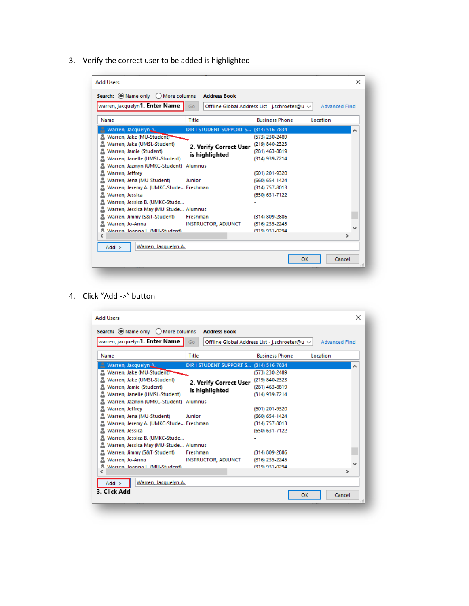3. Verify the correct user to be added is highlighted

| <b>Add Users</b>                          |                                        |                                                    | ×                    |
|-------------------------------------------|----------------------------------------|----------------------------------------------------|----------------------|
| Search: O Name only<br>◯ More columns     | <b>Address Book</b>                    |                                                    |                      |
| warren, jacquelyn1. Enter Name            | Go                                     | Offline Global Address List - j.schroeter@u $\vee$ | <b>Advanced Find</b> |
| Name                                      | Title                                  | <b>Business Phone</b>                              | Location             |
| Warren, Jacquelyn.A.                      | DIR I STUDENT SUPPORT S (314) 516-7834 |                                                    | ́                    |
| Warren, Jake (MU-Studenti                 |                                        | (573) 230-2489                                     |                      |
| Warren, Jake (UMSL-Student)               | 2. Verify Correct User                 | (219) 840-2323                                     |                      |
| Warren, Jamie (Student)                   | is highlighted                         | (281) 463-8819                                     |                      |
| Warren, Janelle (UMSL-Student)            |                                        | (314) 939-7214                                     |                      |
| Warren, Jazmyn (UMKC-Student)             | Alumnus                                |                                                    |                      |
| Warren, Jeffrey                           |                                        | (601) 201-9320                                     |                      |
| Warren, Jena (MU-Student)                 | Junior                                 | (660) 654-1424                                     |                      |
| Warren, Jeremy A. (UMKC-Stude Freshman    |                                        | (314) 757-8013                                     |                      |
| Warren, Jessica                           |                                        | (650) 631-7122                                     |                      |
| Warren, Jessica B. (UMKC-Stude            |                                        |                                                    |                      |
| Warren, Jessica May (MU-Stude Alumnus     |                                        |                                                    |                      |
| Warren, Jimmy (S&T-Student)               | Freshman                               | (314) 809-2886                                     |                      |
| Warren, Jo-Anna                           | <b>INSTRUCTOR, ADJUNCT</b>             | (816) 235-2245                                     |                      |
| Warren Joanna J. (MILStudent)             |                                        | 7310) 031-0204                                     |                      |
| ∢                                         |                                        |                                                    | ⋗                    |
| Warren, Jacquelyn A.<br>$Add \rightarrow$ |                                        |                                                    |                      |
|                                           |                                        | OK                                                 | Cancel<br>i          |

4. Click "Add ->" button

| warren, jacquelyn1. Enter Name            | Go                                     | Offline Global Address List - j.schroeter@u $\vee$ | <b>Advanced Find</b> |
|-------------------------------------------|----------------------------------------|----------------------------------------------------|----------------------|
| Name                                      | Title                                  | <b>Business Phone</b>                              | Location             |
| Warren, Jacquelyn A.                      | DIR I STUDENT SUPPORT S (314) 516-7834 |                                                    |                      |
| Warren, Jake (MU-Student)                 |                                        | (573) 230-2489                                     |                      |
| Warren, Jake (UMSL-Student)               |                                        | (219) 840-2323                                     |                      |
| Warren, Jamie (Student)                   | 2. Verify Correct User                 | (281) 463-8819                                     |                      |
| Warren, Janelle (UMSL-Student)            | is highlighted                         | (314) 939-7214                                     |                      |
| Warren, Jazmyn (UMKC-Student)             | Alumnus                                |                                                    |                      |
| Warren, Jeffrey                           |                                        | (601) 201-9320                                     |                      |
| Warren, Jena (MU-Student)                 | Junior                                 | (660) 654-1424                                     |                      |
| Warren, Jeremy A. (UMKC-Stude Freshman    |                                        | (314) 757-8013                                     |                      |
| Warren, Jessica                           |                                        | (650) 631-7122                                     |                      |
| Warren, Jessica B. (UMKC-Stude            |                                        |                                                    |                      |
| Warren, Jessica May (MU-Stude Alumnus     |                                        |                                                    |                      |
| Warren, Jimmy (S&T-Student)               | Freshman                               | (314) 809-2886                                     |                      |
| Warren, Jo-Anna                           | <b>INSTRUCTOR, ADJUNCT</b>             | (816) 235-2245                                     |                      |
| Warren Joanna J. (MILStudent)             |                                        | (319) 931-0294                                     |                      |
| ∢                                         |                                        |                                                    | ⋗                    |
| Warren, Jacquelyn A.<br>$Add \rightarrow$ |                                        |                                                    |                      |